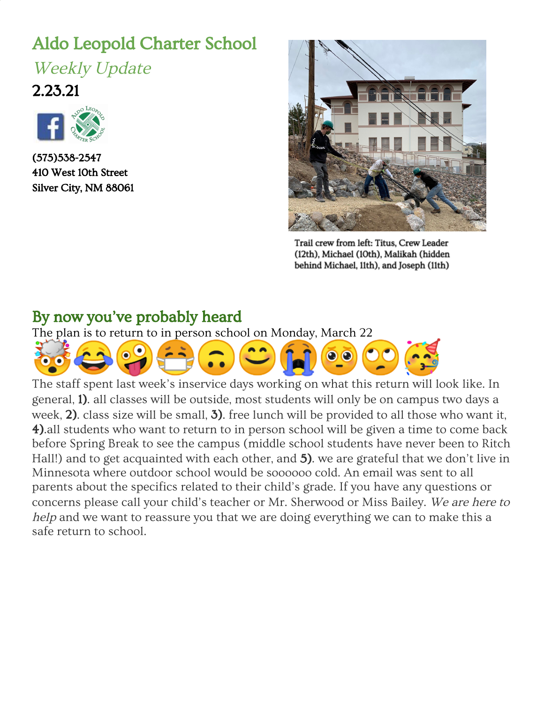# Aldo Leopold Charter School

Weekly Update 2.23.21



(575)538-2547 410 West 10th Street Silver City, NM 88061



Trail crew from left: Titus, Crew Leader (12th), Michael (10th), Malikah (hidden behind Michael, 11th), and Joseph (11th)

#### By now you've probably heard

The plan is to return to in person school on Monday, March 22



The staf f spent last wee k's inse rvice da ys work ing on what th is retur n will look like. In general, 1). all classes will be outside, most students will only be on campus two days a week, 2). class size will be small, 3). free lunch will be provided to all those who want it, 4).all students who want to return to in person school will be given a time to come back before Spring Break to see the campus (middle school students have never been to Ritch Hall!) and to get acquainted with each other, and 5). we are grateful that we don't live in Minnesota where outdoor school would be soooooo cold. An email was sent to all parents about the specifics related to their child's grade. If you have any questions or concerns please call your child's teacher or Mr. Sherwood or Miss Bailey. We are here to help and we want to reassure you that we are doing everything we can to make this a safe return to school.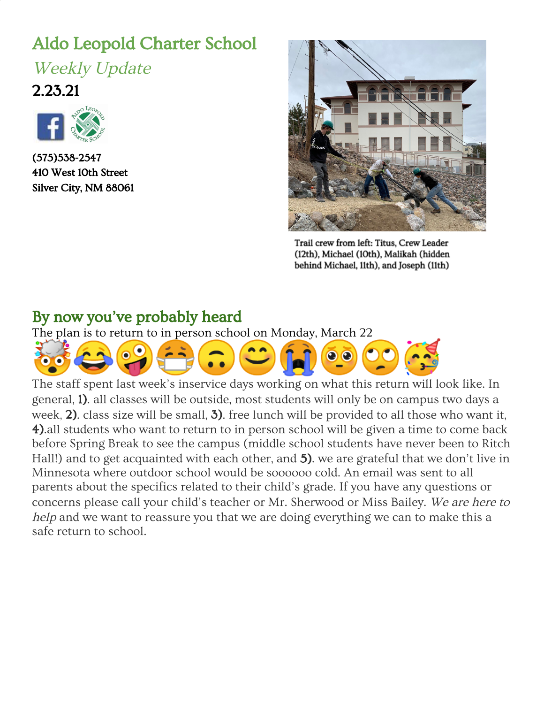## **Grounded**

No one is going anywhere on Aldo buses right now. So since Pete and Maddy could not take the Cultural Geography and Economics, and Environmental science class to [Macho](https://www.capitalpower.com/operations/macho-springs-wind/) [Springs](https://www.capitalpower.com/operations/macho-springs-wind/) Wind Farm as per usual this time of year, they brought the farm to the class. Via the internet. The purpose of this tradition is two fold: 1) to introduce students to a possible well paying career choice "a good career choice because a newly graduated highschool student can make \$18.50 an hour with full benefits and paid time off. You get to travel a lot" and it turns out you must have your phone on 24/7 in case of

emergencies at the farm-what teenager wouldn't love that!)and 2) for students to see for real (well on the internet, like I said) a renewable energy source. We all know there is a lot of ding dang wind here! According to their Give Me 5 journal entries, students learned that it costs 2.3 million dollars to manufacture and transport one wind turbine. "It takes...4-5 cranes, 200 people at each crane just to set it up, plus more people on site." The wind turbines are 24 stories tall and the blades are 150 feet long! The 50.4 megawatts of power from just 28 wind turbines can provide power to 14-16,000 homes and the power generated at Macho Springs Wind Farm goes to Tucson.



# Back on the trail or in the ocean or in the clouds

The middle school has returned to our pre-Thanksgiving Boston Hill Hikes on Friday mornings. At this point we are able to take about half the kids who want to go each Friday, so that means that every other week your middle schooler will be able to see actual real live kids (at a six foot distance and with a mask of course)

When not on Boston Hill, the middle school students have chosen from four different rotations. Ms. Chaney went total middle school and taught about the importance of whale poo. Mr. Cantrell got into octopuses. Erik helped to bring out the inner cartoonist in the kids. And Jennifer introduced her students to the Cloud [Appreciation](https://cloudappreciationsociety.org/) Society. Ms. Chaney's group watched these videos about [wolves](https://www.youtube.com/watch?v=ysa5OBhXz-Q) and [whales](https://www.youtube.com/watch?v=M18HxXve3CM) (if you dream about narrating nature videos, you better practice your British accent) and then they made slides to show the other species that are affected by the preservation of these species. You can see the cartoon creations throughout the Update. And check out these newly named clouds from the Aldo Cloud [Appreciation](https://docs.google.com/presentation/d/1jg5DrhbKWGNRp09ZZ8AaQjBlyE2088q5du5hGC2hux4/edit#slide=id.gbe86f8d2b5_0_9) Society.